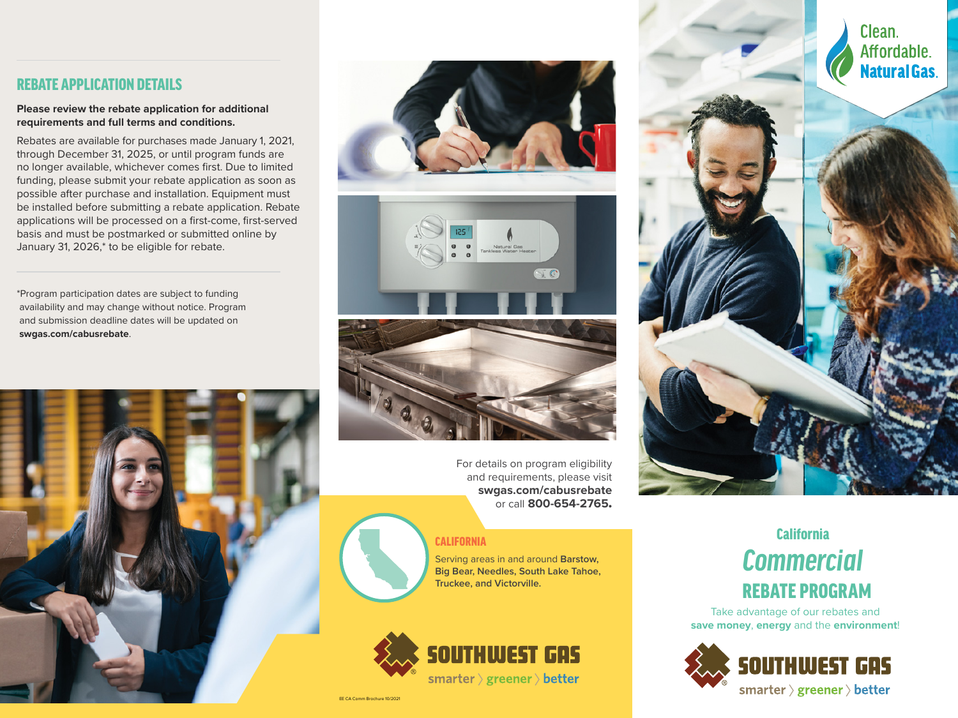## REBATE APPLICATION DETAILS

**Please review the rebate application for additional requirements and full terms and conditions.**

Rebates are available for purchases made January 1, 2021, through December 31, 2025, or until program funds are no longer available, whichever comes first. Due to limited funding, please submit your rebate application as soon as possible after purchase and installation. Equipment must be installed before submitting a rebate application. Rebate applications will be processed on a first-come, first-served basis and must be postmarked or submitted online by January 31, 2026,\* to be eligible for rebate.

\*Program participation dates are subject to funding availability and may change without notice. Program and submission deadline dates will be updated on **swgas.com/cabusrebate**.





For details on program eligibility and requirements, please visit **swgas.com/cabusrebate** or call **800-654-2765**.

#### CALIFORNIA

Serving areas in and around **Barstow, Big Bear, Needles, South Lake Tahoe, Truckee, and Victorville.**







# *Commercial* **California** REBATE PROGRAM

Take advantage of our rebates and **save money**, **energy** and the **environment**!